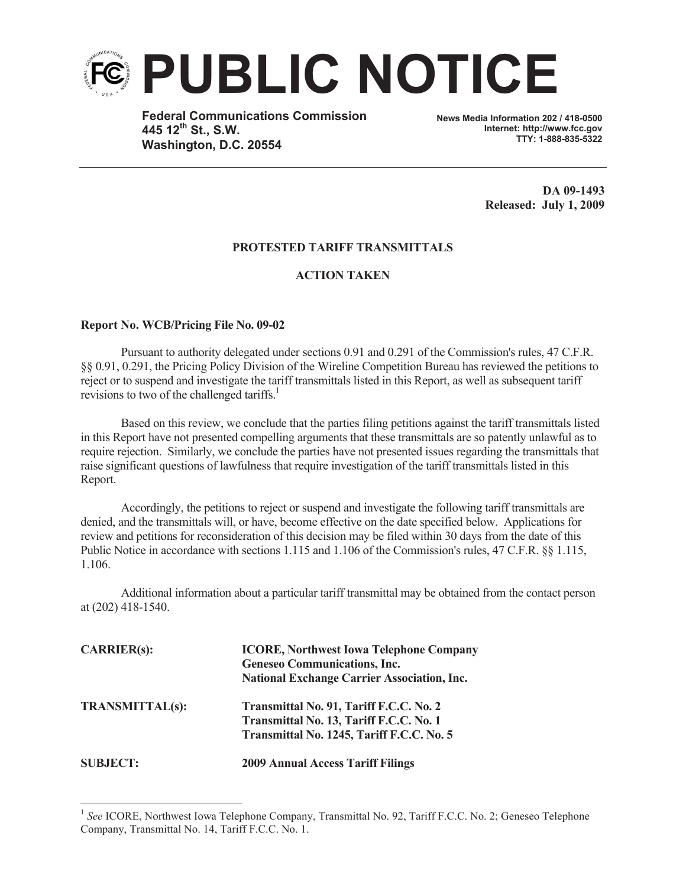

**Federal Communications Commission 445 12th St., S.W. Washington, D.C. 20554**

**News Media Information 202 / 418-0500 Internet: http://www.fcc.gov TTY: 1-888-835-5322**

> **DA 09-1493 Released: July 1, 2009**

## **PROTESTED TARIFF TRANSMITTALS**

## **ACTION TAKEN**

## **Report No. WCB/Pricing File No. 09-02**

Pursuant to authority delegated under sections 0.91 and 0.291 of the Commission's rules, 47 C.F.R. §§ 0.91, 0.291, the Pricing Policy Division of the Wireline Competition Bureau has reviewed the petitions to reject or to suspend and investigate the tariff transmittals listed in this Report, as well as subsequent tariff revisions to two of the challenged tariffs.<sup>1</sup>

Based on this review, we conclude that the parties filing petitions against the tariff transmittals listed in this Report have not presented compelling arguments that these transmittals are so patently unlawful as to require rejection. Similarly, we conclude the parties have not presented issues regarding the transmittals that raise significant questions of lawfulness that require investigation of the tariff transmittals listed in this Report.

Accordingly, the petitions to reject or suspend and investigate the following tariff transmittals are denied, and the transmittals will, or have, become effective on the date specified below. Applications for review and petitions for reconsideration of this decision may be filed within 30 days from the date of this Public Notice in accordance with sections 1.115 and 1.106 of the Commission's rules, 47 C.F.R. §§ 1.115, 1.106.

Additional information about a particular tariff transmittal may be obtained from the contact person at (202) 418-1540.

| CARRIER(s):            | <b>ICORE, Northwest Iowa Telephone Company</b><br><b>Geneseo Communications, Inc.</b><br><b>National Exchange Carrier Association, Inc.</b> |
|------------------------|---------------------------------------------------------------------------------------------------------------------------------------------|
| <b>TRANSMITTAL(s):</b> | Transmittal No. 91, Tariff F.C.C. No. 2<br>Transmittal No. 13, Tariff F.C.C. No. 1<br>Transmittal No. 1245, Tariff F.C.C. No. 5             |
| <b>SUBJECT:</b>        | <b>2009 Annual Access Tariff Filings</b>                                                                                                    |

<sup>&</sup>lt;sup>1</sup> See ICORE, Northwest Iowa Telephone Company, Transmittal No. 92, Tariff F.C.C. No. 2; Geneseo Telephone Company, Transmittal No. 14, Tariff F.C.C. No. 1.